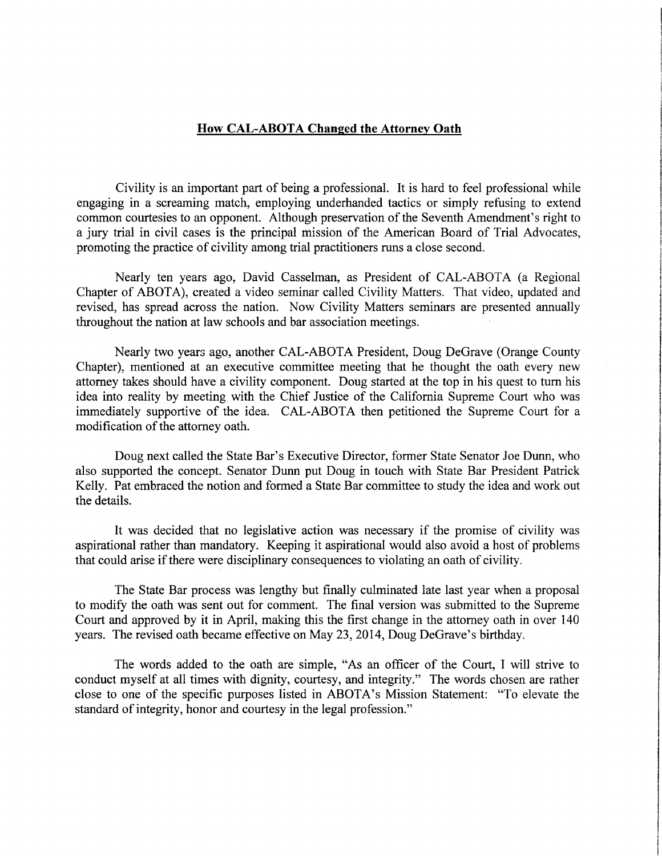## How CAL-ABOTA Changed the Attorney Oath

Civility is an important part of being a professional. It is hard to feel professional while engaging in a screaming match, employing underhanded tactics or simply refusing to extend common courtesies to an opponent. Although preservation of the Seventh Amendment's right to a jury trial in civil cases is the principal mission of the American Board of Trial Advocates, promoting the practice of civility among trial practitioners runs a close second.

Nearly ten years ago, David Casselman, as President of CAL-ABOTA (a Regional Chapter of ABOTA), created a video seminar called Civility Matters. That video, updated and revised, has spread across the nation. Now Civility Matters seminars are presented annually throughout the nation at law schools and bar association meetings.

Nearly two years ago, another CAL-ABOTA President, Doug DeGrave (Orange County Chapter), mentioned at an executive committee meeting that he thought the oath every new attorney takes should have a civility component. Doug started at the top in his quest to turn his idea into reality by meeting with the Chief Justice of the California Supreme Court who was immediately supportive of the idea. CAL-ABOTA then petitioned the Supreme Court for a modification of the attorney oath.

Doug next called the State Bar's Executive Director, former State Senator Joe Dunn, who also supported the concept. Senator Dunn put Doug in touch with State Bar President Patrick Kelly. Pat embraced the notion and formed a State Bar committee to study the idea and work out the details.

It was decided that no legislative action was necessary if the promise of civility was aspirational rather than mandatory. Keeping it aspirational would also avoid a host of problems that could arise if there were disciplinary consequences to violating an oath of civility.

The State Bar process was lengthy but finally culminated late last year when a proposal to modify the oath was sent out for comment. The final version was submitted to the Supreme Court and approved by it in April, making this the first change in the attorney oath in over 140 years. The revised oath became effective on May 23, 2014, Doug DeGrave's birthday.

The words added to the oath are simple, "As an officer of the Court, I will strive to conduct myself at all times with dignity, courtesy, and integrity." The words chosen are rather close to one of the specific purposes listed in ABOTA's Mission Statement: "To elevate the standard of integrity, honor and courtesy in the legal profession."